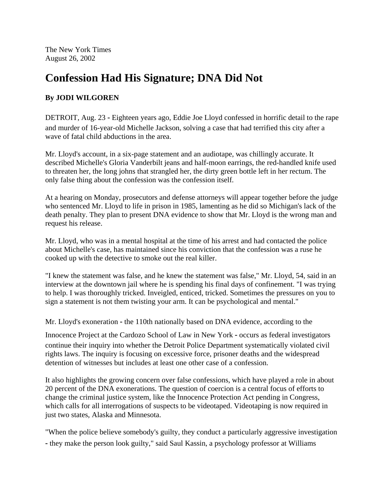The New York Times August 26, 2002

## **Confession Had His Signature; DNA Did Not**

## **By JODI WILGOREN**

DETROIT, Aug. 23 - Eighteen years ago, Eddie Joe Lloyd confessed in horrific detail to the rape and murder of 16-year-old Michelle Jackson, solving a case that had terrified this city after a wave of fatal child abductions in the area.

Mr. Lloyd's account, in a six-page statement and an audiotape, was chillingly accurate. It described Michelle's Gloria Vanderbilt jeans and half-moon earrings, the red-handled knife used to threaten her, the long johns that strangled her, the dirty green bottle left in her rectum. The only false thing about the confession was the confession itself.

At a hearing on Monday, prosecutors and defense attorneys will appear together before the judge who sentenced Mr. Lloyd to life in prison in 1985, lamenting as he did so Michigan's lack of the death penalty. They plan to present DNA evidence to show that Mr. Lloyd is the wrong man and request his release.

Mr. Lloyd, who was in a mental hospital at the time of his arrest and had contacted the police about Michelle's case, has maintained since his conviction that the confession was a ruse he cooked up with the detective to smoke out the real killer.

"I knew the statement was false, and he knew the statement was false," Mr. Lloyd, 54, said in an interview at the downtown jail where he is spending his final days of confinement. "I was trying to help. I was thoroughly tricked. Inveigled, enticed, tricked. Sometimes the pressures on you to sign a statement is not them twisting your arm. It can be psychological and mental."

Mr. Lloyd's exoneration - the 110th nationally based on DNA evidence, according to the

Innocence Project at the Cardozo School of Law in New York - occurs as federal investigators continue their inquiry into whether the Detroit Police Department systematically violated civil rights laws. The inquiry is focusing on excessive force, prisoner deaths and the widespread detention of witnesses but includes at least one other case of a confession.

It also highlights the growing concern over false confessions, which have played a role in about 20 percent of the DNA exonerations. The question of coercion is a central focus of efforts to change the criminal justice system, like the Innocence Protection Act pending in Congress, which calls for all interrogations of suspects to be videotaped. Videotaping is now required in just two states, Alaska and Minnesota.

"When the police believe somebody's guilty, they conduct a particularly aggressive investigation - they make the person look guilty," said Saul Kassin, a psychology professor at Williams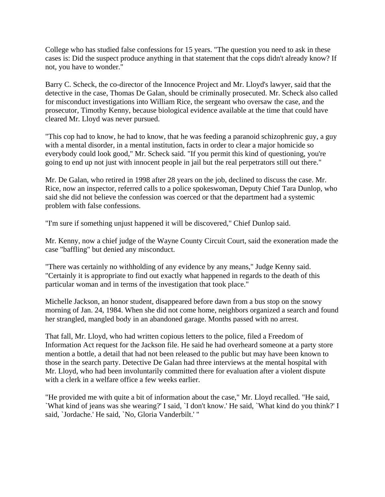College who has studied false confessions for 15 years. "The question you need to ask in these cases is: Did the suspect produce anything in that statement that the cops didn't already know? If not, you have to wonder."

Barry C. Scheck, the co-director of the Innocence Project and Mr. Lloyd's lawyer, said that the detective in the case, Thomas De Galan, should be criminally prosecuted. Mr. Scheck also called for misconduct investigations into William Rice, the sergeant who oversaw the case, and the prosecutor, Timothy Kenny, because biological evidence available at the time that could have cleared Mr. Lloyd was never pursued.

"This cop had to know, he had to know, that he was feeding a paranoid schizophrenic guy, a guy with a mental disorder, in a mental institution, facts in order to clear a major homicide so everybody could look good," Mr. Scheck said. "If you permit this kind of questioning, you're going to end up not just with innocent people in jail but the real perpetrators still out there."

Mr. De Galan, who retired in 1998 after 28 years on the job, declined to discuss the case. Mr. Rice, now an inspector, referred calls to a police spokeswoman, Deputy Chief Tara Dunlop, who said she did not believe the confession was coerced or that the department had a systemic problem with false confessions.

"I'm sure if something unjust happened it will be discovered," Chief Dunlop said.

Mr. Kenny, now a chief judge of the Wayne County Circuit Court, said the exoneration made the case "baffling" but denied any misconduct.

"There was certainly no withholding of any evidence by any means," Judge Kenny said. "Certainly it is appropriate to find out exactly what happened in regards to the death of this particular woman and in terms of the investigation that took place."

Michelle Jackson, an honor student, disappeared before dawn from a bus stop on the snowy morning of Jan. 24, 1984. When she did not come home, neighbors organized a search and found her strangled, mangled body in an abandoned garage. Months passed with no arrest.

That fall, Mr. Lloyd, who had written copious letters to the police, filed a Freedom of Information Act request for the Jackson file. He said he had overheard someone at a party store mention a bottle, a detail that had not been released to the public but may have been known to those in the search party. Detective De Galan had three interviews at the mental hospital with Mr. Lloyd, who had been involuntarily committed there for evaluation after a violent dispute with a clerk in a welfare office a few weeks earlier.

"He provided me with quite a bit of information about the case," Mr. Lloyd recalled. "He said, `What kind of jeans was she wearing?' I said, `I don't know.' He said, `What kind do you think?' I said, `Jordache.' He said, `No, Gloria Vanderbilt.' "